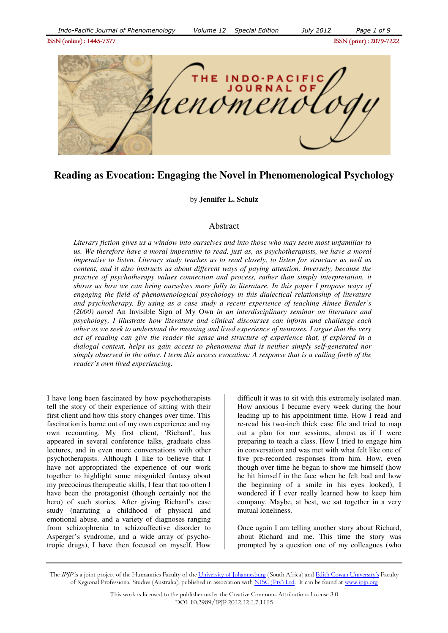ISSN (online) : 1445- ISSN (online) : 1445-7377ISSN (print) : 2079- ISSN 2079-7222



# **Reading as Evocation: Engaging the Novel in Phenomenological Psychology**

by **Jennifer L. Schulz** 

## Abstract

*Literary fiction gives us a window into ourselves and into those who may seem most unfamiliar to us. We therefore have a moral imperative to read, just as, as psychotherapists, we have a moral imperative to listen. Literary study teaches us to read closely, to listen for structure as well as content, and it also instructs us about different ways of paying attention. Inversely, because the practice of psychotherapy values connection and process, rather than simply interpretation, it shows us how we can bring ourselves more fully to literature. In this paper I propose ways of engaging the field of phenomenological psychology in this dialectical relationship of literature and psychotherapy. By using as a case study a recent experience of teaching Aimee Bender's (2000) novel* An Invisible Sign of My Own *in an interdisciplinary seminar on literature and psychology, I illustrate how literature and clinical discourses can inform and challenge each other as we seek to understand the meaning and lived experience of neuroses. I argue that the very act of reading can give the reader the sense and structure of experience that, if explored in a dialogal context, helps us gain access to phenomena that is neither simply self-generated nor simply observed in the other. I term this access evocation: A response that is a calling forth of the reader's own lived experiencing.* 

I have long been fascinated by how psychotherapists tell the story of their experience of sitting with their first client and how this story changes over time. This fascination is borne out of my own experience and my own recounting. My first client, 'Richard', has appeared in several conference talks, graduate class lectures, and in even more conversations with other psychotherapists. Although I like to believe that I have not appropriated the experience of our work together to highlight some misguided fantasy about my precocious therapeutic skills, I fear that too often I have been the protagonist (though certainly not the hero) of such stories. After giving Richard's case study (narrating a childhood of physical and emotional abuse, and a variety of diagnoses ranging from schizophrenia to schizoaffective disorder to Asperger's syndrome, and a wide array of psychotropic drugs), I have then focused on myself. How

difficult it was to sit with this extremely isolated man. How anxious I became every week during the hour leading up to his appointment time. How I read and re-read his two-inch thick case file and tried to map out a plan for our sessions, almost as if I were preparing to teach a class. How I tried to engage him in conversation and was met with what felt like one of five pre-recorded responses from him. How, even though over time he began to show me himself (how he hit himself in the face when he felt bad and how the beginning of a smile in his eyes looked), I wondered if I ever really learned how to keep him company. Maybe, at best, we sat together in a very mutual loneliness.

Once again I am telling another story about Richard, about Richard and me. This time the story was prompted by a question one of my colleagues (who

The IPJP is a joint project of the Humanities Faculty of the University of Johannesburg (South Africa) and Edith Cowan University's Faculty of Regional Professional Studies (Australia), published in association with NISC (Pty) Ltd. It can be found at www.ipjp.org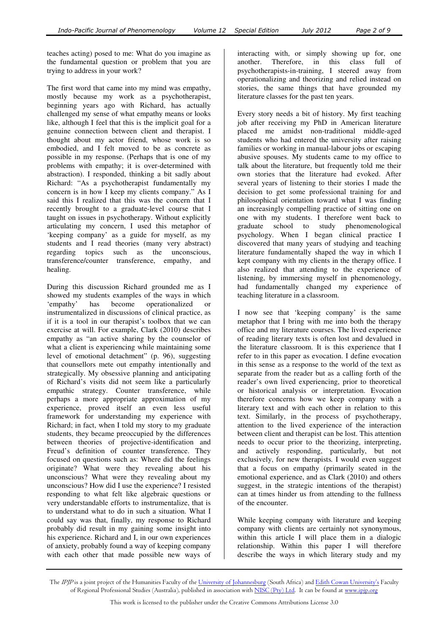teaches acting) posed to me: What do you imagine as the fundamental question or problem that you are trying to address in your work?

The first word that came into my mind was empathy, mostly because my work as a psychotherapist, beginning years ago with Richard, has actually challenged my sense of what empathy means or looks like, although I feel that this is the implicit goal for a genuine connection between client and therapist. I thought about my actor friend, whose work is so embodied, and I felt moved to be as concrete as possible in my response. (Perhaps that is one of my problems with empathy; it is over-determined with abstraction). I responded, thinking a bit sadly about Richard: "As a psychotherapist fundamentally my concern is in how I keep my clients company." As I said this I realized that this was the concern that I recently brought to a graduate-level course that I taught on issues in psychotherapy. Without explicitly articulating my concern, I used this metaphor of 'keeping company' as a guide for myself, as my students and I read theories (many very abstract) regarding topics such as the unconscious, transference/counter transference, empathy, and healing.

During this discussion Richard grounded me as I showed my students examples of the ways in which 'empathy' has become operationalized or instrumentalized in discussions of clinical practice, as if it is a tool in our therapist's toolbox that we can exercise at will. For example, Clark (2010) describes empathy as "an active sharing by the counselor of what a client is experiencing while maintaining some level of emotional detachment" (p. 96), suggesting that counsellors mete out empathy intentionally and strategically. My obsessive planning and anticipating of Richard's visits did not seem like a particularly empathic strategy. Counter transference, while perhaps a more appropriate approximation of my experience, proved itself an even less useful framework for understanding my experience with Richard; in fact, when I told my story to my graduate students, they became preoccupied by the differences between theories of projective-identification and Freud's definition of counter transference. They focused on questions such as: Where did the feelings originate? What were they revealing about his unconscious? What were they revealing about my unconscious? How did I use the experience? I resisted responding to what felt like algebraic questions or very understandable efforts to instrumentalize, that is to understand what to do in such a situation. What I could say was that, finally, my response to Richard probably did result in my gaining some insight into his experience. Richard and I, in our own experiences of anxiety, probably found a way of keeping company with each other that made possible new ways of

interacting with, or simply showing up for, one another. Therefore, in this class full of psychotherapists-in-training, I steered away from operationalizing and theorizing and relied instead on stories, the same things that have grounded my literature classes for the past ten years.

Every story needs a bit of history. My first teaching job after receiving my PhD in American literature placed me amidst non-traditional middle-aged students who had entered the university after raising families or working in manual-labour jobs or escaping abusive spouses. My students came to my office to talk about the literature, but frequently told me their own stories that the literature had evoked. After several years of listening to their stories I made the decision to get some professional training for and philosophical orientation toward what I was finding an increasingly compelling practice of sitting one on one with my students. I therefore went back to graduate school to study phenomenological psychology. When I began clinical practice I discovered that many years of studying and teaching literature fundamentally shaped the way in which I kept company with my clients in the therapy office. I also realized that attending to the experience of listening, by immersing myself in phenomenology, had fundamentally changed my experience of teaching literature in a classroom.

I now see that 'keeping company' is the same metaphor that I bring with me into both the therapy office and my literature courses. The lived experience of reading literary texts is often lost and devalued in the literature classroom. It is this experience that I refer to in this paper as evocation. I define evocation in this sense as a response to the world of the text as separate from the reader but as a calling forth of the reader's own lived experiencing, prior to theoretical or historical analysis or interpretation. Evocation therefore concerns how we keep company with a literary text and with each other in relation to this text. Similarly, in the process of psychotherapy, attention to the lived experience of the interaction between client and therapist can be lost. This attention needs to occur prior to the theorizing, interpreting, and actively responding, particularly, but not exclusively, for new therapists*.* I would even suggest that a focus on empathy (primarily seated in the emotional experience, and as Clark (2010) and others suggest, in the strategic intentions of the therapist) can at times hinder us from attending to the fullness of the encounter.

While keeping company with literature and keeping company with clients are certainly not synonymous, within this article I will place them in a dialogic relationship. Within this paper I will therefore describe the ways in which literary study and my

The IPJP is a joint project of the Humanities Faculty of the University of Johannesburg (South Africa) and Edith Cowan University's Faculty of Regional Professional Studies (Australia), published in association with NISC (Pty) Ltd. It can be found at www.ipjp.org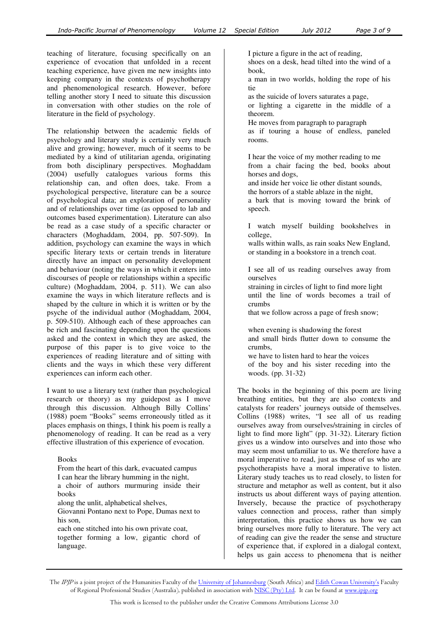teaching of literature, focusing specifically on an experience of evocation that unfolded in a recent teaching experience, have given me new insights into keeping company in the contexts of psychotherapy and phenomenological research. However, before telling another story I need to situate this discussion in conversation with other studies on the role of literature in the field of psychology.

The relationship between the academic fields of psychology and literary study is certainly very much alive and growing; however, much of it seems to be mediated by a kind of utilitarian agenda, originating from both disciplinary perspectives. Moghaddam (2004) usefully catalogues various forms this relationship can, and often does, take. From a psychological perspective, literature can be a source of psychological data; an exploration of personality and of relationships over time (as opposed to lab and outcomes based experimentation). Literature can also be read as a case study of a specific character or characters (Moghaddam, 2004, pp. 507-509). In addition, psychology can examine the ways in which specific literary texts or certain trends in literature directly have an impact on personality development and behaviour (noting the ways in which it enters into discourses of people or relationships within a specific culture) (Moghaddam, 2004, p. 511). We can also examine the ways in which literature reflects and is shaped by the culture in which it is written or by the psyche of the individual author (Moghaddam, 2004, p. 509-510). Although each of these approaches can be rich and fascinating depending upon the questions asked and the context in which they are asked, the purpose of this paper is to give voice to the experiences of reading literature and of sitting with clients and the ways in which these very different experiences can inform each other.

I want to use a literary text (rather than psychological research or theory) as my guidepost as I move through this discussion. Although Billy Collins' (1988) poem "Books" seems erroneously titled as it places emphasis on things, I think his poem is really a phenomenology of reading. It can be read as a very effective illustration of this experience of evocation.

Books From the heart of this dark, evacuated campus I can hear the library humming in the night, a choir of authors murmuring inside their books along the unlit, alphabetical shelves, Giovanni Pontano next to Pope, Dumas next to his son, each one stitched into his own private coat,

together forming a low, gigantic chord of language.

I picture a figure in the act of reading, shoes on a desk, head tilted into the wind of a book,

a man in two worlds, holding the rope of his tie

as the suicide of lovers saturates a page, or lighting a cigarette in the middle of a theorem.

He moves from paragraph to paragraph as if touring a house of endless, paneled rooms.

I hear the voice of my mother reading to me from a chair facing the bed, books about horses and dogs,

and inside her voice lie other distant sounds, the horrors of a stable ablaze in the night,

a bark that is moving toward the brink of speech.

I watch myself building bookshelves in college,

walls within walls, as rain soaks New England, or standing in a bookstore in a trench coat.

I see all of us reading ourselves away from ourselves

straining in circles of light to find more light until the line of words becomes a trail of crumbs

that we follow across a page of fresh snow;

when evening is shadowing the forest and small birds flutter down to consume the crumbs, we have to listen hard to hear the voices of the boy and his sister receding into the

woods. (pp. 31-32)

The books in the beginning of this poem are living breathing entities, but they are also contexts and catalysts for readers' journeys outside of themselves. Collins (1988) writes, "I see all of us reading ourselves away from ourselves/straining in circles of light to find more light" (pp. 31-32). Literary fiction gives us a window into ourselves and into those who may seem most unfamiliar to us. We therefore have a moral imperative to read, just as those of us who are psychotherapists have a moral imperative to listen. Literary study teaches us to read closely, to listen for structure and metaphor as well as content, but it also instructs us about different ways of paying attention. Inversely, because the practice of psychotherapy values connection and process, rather than simply interpretation, this practice shows us how we can bring ourselves more fully to literature. The very act of reading can give the reader the sense and structure of experience that, if explored in a dialogal context, helps us gain access to phenomena that is neither

The IPJP is a joint project of the Humanities Faculty of the University of Johannesburg (South Africa) and Edith Cowan University's Faculty of Regional Professional Studies (Australia), published in association with NISC (Pty) Ltd. It can be found at www.ipjp.org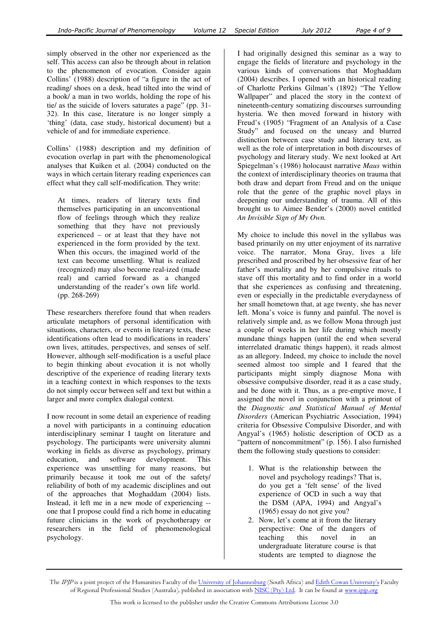simply observed in the other nor experienced as the self. This access can also be through about in relation to the phenomenon of evocation. Consider again Collins' (1988) description of "a figure in the act of reading/ shoes on a desk, head tilted into the wind of a book/ a man in two worlds, holding the rope of his tie/ as the suicide of lovers saturates a page" (pp. 31- 32). In this case, literature is no longer simply a 'thing' (data, case study, historical document) but a vehicle of and for immediate experience.

Collins' (1988) description and my definition of evocation overlap in part with the phenomenological analyses that Kuiken et al. (2004) conducted on the ways in which certain literary reading experiences can effect what they call self-modification. They write:

At times, readers of literary texts find themselves participating in an unconventional flow of feelings through which they realize something that they have not previously experienced – or at least that they have not experienced in the form provided by the text. When this occurs, the imagined world of the text can become unsettling. What is realized (recognized) may also become real-ized (made real) and carried forward as a changed understanding of the reader's own life world. (pp. 268-269)

These researchers therefore found that when readers articulate metaphors of personal identification with situations, characters, or events in literary texts, these identifications often lead to modifications in readers' own lives, attitudes, perspectives, and senses of self. However, although self-modification is a useful place to begin thinking about evocation it is not wholly descriptive of the experience of reading literary texts in a teaching context in which responses to the texts do not simply occur between self and text but within a larger and more complex dialogal context*.* 

I now recount in some detail an experience of reading a novel with participants in a continuing education interdisciplinary seminar I taught on literature and psychology. The participants were university alumni working in fields as diverse as psychology, primary education, and software development. This experience was unsettling for many reasons, but primarily because it took me out of the safety/ reliability of both of my academic disciplines and out of the approaches that Moghaddam (2004) lists. Instead, it left me in a new mode of experiencing - one that I propose could find a rich home in educating future clinicians in the work of psychotherapy or researchers in the field of phenomenological psychology.

I had originally designed this seminar as a way to engage the fields of literature and psychology in the various kinds of conversations that Moghaddam (2004) describes. I opened with an historical reading of Charlotte Perkins Gilman's (1892) "The Yellow Wallpaper" and placed the story in the context of nineteenth-century somatizing discourses surrounding hysteria. We then moved forward in history with Freud's (1905) "Fragment of an Analysis of a Case Study" and focused on the uneasy and blurred distinction between case study and literary text, as well as the role of interpretation in both discourses of psychology and literary study. We next looked at Art Spiegelman's (1986) holocaust narrative *Maus* within the context of interdisciplinary theories on trauma that both draw and depart from Freud and on the unique role that the genre of the graphic novel plays in deepening our understanding of trauma. All of this brought us to Aimee Bender's (2000) novel entitled *An Invisible Sign of My Own.* 

My choice to include this novel in the syllabus was based primarily on my utter enjoyment of its narrative voice. The narrator, Mona Gray, lives a life prescribed and proscribed by her obsessive fear of her father's mortality and by her compulsive rituals to stave off this mortality and to find order in a world that she experiences as confusing and threatening, even or especially in the predictable everydayness of her small hometown that, at age twenty, she has never left. Mona's voice is funny and painful. The novel is relatively simple and, as we follow Mona through just a couple of weeks in her life during which mostly mundane things happen (until the end when several interrelated dramatic things happen), it reads almost as an allegory. Indeed, my choice to include the novel seemed almost too simple and I feared that the participants might simply diagnose Mona with obsessive compulsive disorder, read it as a case study, and be done with it. Thus, as a pre-emptive move, I assigned the novel in conjunction with a printout of the *Diagnostic and Statistical Manual of Mental Disorders* (American Psychiatric Association, 1994) criteria for Obsessive Compulsive Disorder, and with Angyal's (1965) holistic description of OCD as a "pattern of noncommitment" (p. 156). I also furnished them the following study questions to consider:

- 1. What is the relationship between the novel and psychology readings? That is, do you get a 'felt sense' of the lived experience of OCD in such a way that the DSM (APA, 1994) and Angyal's (1965) essay do not give you?
- 2. Now, let's come at it from the literary perspective: One of the dangers of teaching this novel in an undergraduate literature course is that students are tempted to diagnose the

The IPJP is a joint project of the Humanities Faculty of the University of Johannesburg (South Africa) and Edith Cowan University's Faculty of Regional Professional Studies (Australia), published in association with NISC (Pty) Ltd. It can be found at www.ipjp.org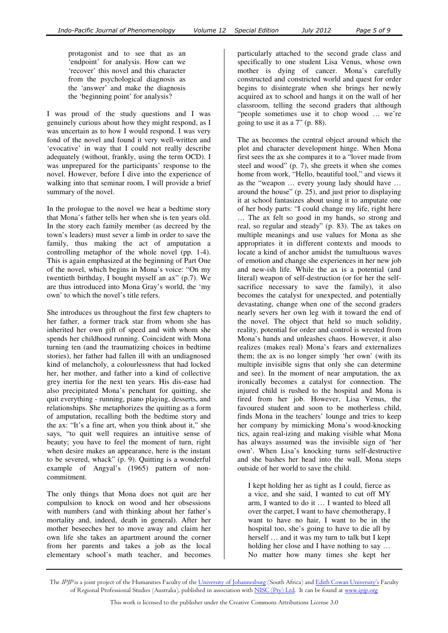protagonist and to see that as an 'endpoint' for analysis. How can we 'recover' this novel and this character from the psychological diagnosis as the 'answer' and make the diagnosis the 'beginning point' for analysis?

I was proud of the study questions and I was genuinely curious about how they might respond, as I was uncertain as to how I would respond. I was very fond of the novel and found it very well-written and 'evocative' in way that I could not really describe adequately (without, frankly, using the term OCD). I was unprepared for the participants' response to the novel. However, before I dive into the experience of walking into that seminar room, I will provide a brief summary of the novel.

In the prologue to the novel we hear a bedtime story that Mona's father tells her when she is ten years old. In the story each family member (as decreed by the town's leaders) must sever a limb in order to save the family, thus making the act of amputation a controlling metaphor of the whole novel (pp. 1-4). This is again emphasized at the beginning of Part One of the novel, which begins in Mona's voice: "On my twentieth birthday, I bought myself an ax" (p.7). We are thus introduced into Mona Gray's world, the 'my own' to which the novel's title refers.

She introduces us throughout the first few chapters to her father, a former track star from whom she has inherited her own gift of speed and with whom she spends her childhood running. Coincident with Mona turning ten (and the traumatizing choices in bedtime stories), her father had fallen ill with an undiagnosed kind of melancholy, a colourlessness that had locked her, her mother, and father into a kind of collective grey inertia for the next ten years. His dis-ease had also precipitated Mona's penchant for quitting, she quit everything - running, piano playing, desserts, and relationships. She metaphorizes the quitting as a form of amputation, recalling both the bedtime story and the ax: "It's a fine art, when you think about it," she says, "to quit well requires an intuitive sense of beauty; you have to feel the moment of turn, right when desire makes an appearance, here is the instant to be severed, whack" (p. 9). Quitting is a wonderful example of Angyal's (1965) pattern of noncommitment.

The only things that Mona does not quit are her compulsion to knock on wood and her obsessions with numbers (and with thinking about her father's mortality and, indeed, death in general). After her mother beseeches her to move away and claim her own life she takes an apartment around the corner from her parents and takes a job as the local elementary school's math teacher, and becomes

particularly attached to the second grade class and specifically to one student Lisa Venus, whose own mother is dying of cancer. Mona's carefully constructed and constricted world and quest for order begins to disintegrate when she brings her newly acquired ax to school and hangs it on the wall of her classroom, telling the second graders that although "people sometimes use it to chop wood … we're going to use it as a 7" (p. 88).

The ax becomes the central object around which the plot and character development hinge. When Mona first sees the ax she compares it to a "lover made from steel and wood" (p. 7), she greets it when she comes home from work, "Hello, beautiful tool," and views it as the "weapon … every young lady should have … around the house" (p. 25), and just prior to displaying it at school fantasizes about using it to amputate one of her body parts: "I could change my life, right here … The ax felt so good in my hands, so strong and real, so regular and steady" (p. 83). The ax takes on multiple meanings and use values for Mona as she appropriates it in different contexts and moods to locate a kind of anchor amidst the tumultuous waves of emotion and change she experiences in her new job and new-ish life. While the ax is a potential (and literal) weapon of self-destruction (or for her the selfsacrifice necessary to save the family), it also becomes the catalyst for unexpected, and potentially devastating, change when one of the second graders nearly severs her own leg with it toward the end of the novel. The object that held so much solidity, reality, potential for order and control is wrested from Mona's hands and unleashes chaos. However, it also realizes (makes real) Mona's fears and externalizes them; the ax is no longer simply 'her own' (with its multiple invisible signs that only she can determine and see). In the moment of near amputation, the ax ironically becomes a catalyst for connection. The injured child is rushed to the hospital and Mona is fired from her job. However, Lisa Venus, the favoured student and soon to be motherless child, finds Mona in the teachers' lounge and tries to keep her company by mimicking Mona's wood-knocking tics, again real-izing and making visible what Mona has always assumed was the invisible sign of 'her own'. When Lisa's knocking turns self-destructive and she bashes her head into the wall, Mona steps outside of her world to save the child.

I kept holding her as tight as I could, fierce as a vice, and she said, I wanted to cut off MY arm, I wanted to do it … I wanted to bleed all over the carpet, I want to have chemotherapy, I want to have no hair, I want to be in the hospital too, she's going to have to die all by herself … and it was my turn to talk but I kept holding her close and I have nothing to say … No matter how many times she kept her

The *IPJP* is a joint project of the Humanities Faculty of the <u>University of Johannesburg</u> (South Africa) and <u>Edith Cowan University's</u> Faculty of Regional Professional Studies (Australia), published in association with <u>NISC (Pty) Ltd</u>. It can be found at <u>www.ipjp.org</u>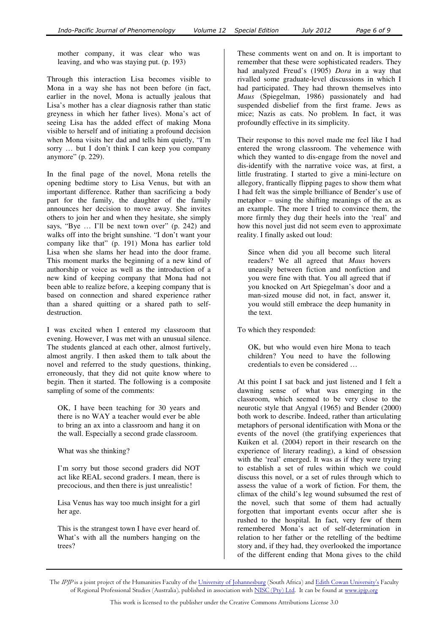mother company, it was clear who was leaving, and who was staying put. (p. 193)

Through this interaction Lisa becomes visible to Mona in a way she has not been before (in fact, earlier in the novel, Mona is actually jealous that Lisa's mother has a clear diagnosis rather than static greyness in which her father lives). Mona's act of seeing Lisa has the added effect of making Mona visible to herself and of initiating a profound decision when Mona visits her dad and tells him quietly, "I'm sorry … but I don't think I can keep you company anymore" (p. 229).

In the final page of the novel, Mona retells the opening bedtime story to Lisa Venus, but with an important difference. Rather than sacrificing a body part for the family, the daughter of the family announces her decision to move away. She invites others to join her and when they hesitate, she simply says, "Bye ... I'll be next town over" (p. 242) and walks off into the bright sunshine. "I don't want your company like that" (p. 191) Mona has earlier told Lisa when she slams her head into the door frame. This moment marks the beginning of a new kind of authorship or voice as well as the introduction of a new kind of keeping company that Mona had not been able to realize before, a keeping company that is based on connection and shared experience rather than a shared quitting or a shared path to selfdestruction.

I was excited when I entered my classroom that evening. However, I was met with an unusual silence. The students glanced at each other, almost furtively, almost angrily. I then asked them to talk about the novel and referred to the study questions, thinking, erroneously, that they did not quite know where to begin. Then it started. The following is a composite sampling of some of the comments:

OK, I have been teaching for 30 years and there is no WAY a teacher would ever be able to bring an ax into a classroom and hang it on the wall. Especially a second grade classroom.

What was she thinking?

I'm sorry but those second graders did NOT act like REAL second graders. I mean, there is precocious, and then there is just unrealistic!

Lisa Venus has way too much insight for a girl her age.

This is the strangest town I have ever heard of. What's with all the numbers hanging on the trees?

These comments went on and on. It is important to remember that these were sophisticated readers. They had analyzed Freud's (1905) *Dora* in a way that rivalled some graduate-level discussions in which I had participated. They had thrown themselves into *Maus* (Spiegelman, 1986) passionately and had suspended disbelief from the first frame. Jews as mice; Nazis as cats. No problem. In fact, it was profoundly effective in its simplicity.

Their response to this novel made me feel like I had entered the wrong classroom. The vehemence with which they wanted to dis-engage from the novel and dis-identify with the narrative voice was, at first, a little frustrating. I started to give a mini-lecture on allegory, frantically flipping pages to show them what I had felt was the simple brilliance of Bender's use of metaphor – using the shifting meanings of the ax as an example. The more I tried to convince them, the more firmly they dug their heels into the 'real' and how this novel just did not seem even to approximate reality. I finally asked out loud:

Since when did you all become such literal readers? We all agreed that *Maus* hovers uneasily between fiction and nonfiction and you were fine with that. You all agreed that if you knocked on Art Spiegelman's door and a man-sized mouse did not, in fact, answer it, you would still embrace the deep humanity in the text.

To which they responded:

OK, but who would even hire Mona to teach children? You need to have the following credentials to even be considered …

At this point I sat back and just listened and I felt a dawning sense of what was emerging in the classroom, which seemed to be very close to the neurotic style that Angyal (1965) and Bender (2000) both work to describe. Indeed, rather than articulating metaphors of personal identification with Mona or the events of the novel (the gratifying experiences that Kuiken et al. (2004) report in their research on the experience of literary reading), a kind of obsession with the 'real' emerged. It was as if they were trying to establish a set of rules within which we could discuss this novel, or a set of rules through which to assess the value of a work of fiction. For them, the climax of the child's leg wound subsumed the rest of the novel, such that some of them had actually forgotten that important events occur after she is rushed to the hospital. In fact, very few of them remembered Mona's act of self-determination in relation to her father or the retelling of the bedtime story and, if they had, they overlooked the importance of the different ending that Mona gives to the child

The IPJP is a joint project of the Humanities Faculty of the University of Johannesburg (South Africa) and Edith Cowan University's Faculty of Regional Professional Studies (Australia), published in association with NISC (Pty) Ltd. It can be found at www.ipjp.org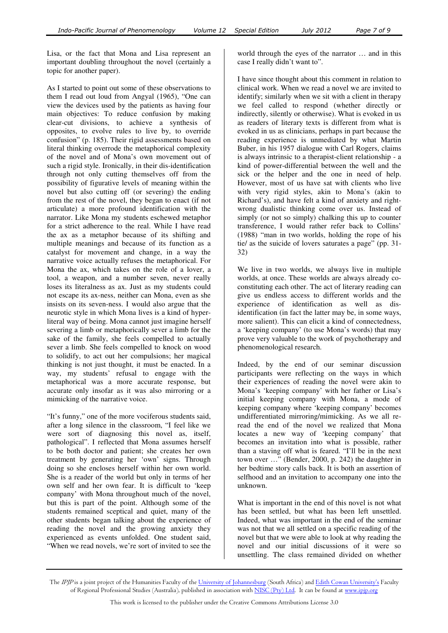Lisa, or the fact that Mona and Lisa represent an important doubling throughout the novel (certainly a topic for another paper).

As I started to point out some of these observations to them I read out loud from Angyal (1965), "One can view the devices used by the patients as having four main objectives: To reduce confusion by making clear-cut divisions, to achieve a synthesis of opposites, to evolve rules to live by, to override confusion" (p. 185). Their rigid assessments based on literal thinking overrode the metaphorical complexity of the novel and of Mona's own movement out of such a rigid style. Ironically, in their dis-identification through not only cutting themselves off from the possibility of figurative levels of meaning within the novel but also cutting off (or severing) the ending from the rest of the novel, they began to enact (if not articulate) a more profound identification with the narrator. Like Mona my students eschewed metaphor for a strict adherence to the real. While I have read the ax as a metaphor because of its shifting and multiple meanings and because of its function as a catalyst for movement and change, in a way the narrative voice actually refuses the metaphorical. For Mona the ax, which takes on the role of a lover, a tool, a weapon, and a number seven, never really loses its literalness as ax. Just as my students could not escape its ax-ness, neither can Mona, even as she insists on its seven-ness. I would also argue that the neurotic style in which Mona lives is a kind of hyperliteral way of being. Mona cannot just imagine herself severing a limb or metaphorically sever a limb for the sake of the family, she feels compelled to actually sever a limb. She feels compelled to knock on wood to solidify, to act out her compulsions; her magical thinking is not just thought, it must be enacted. In a way, my students' refusal to engage with the metaphorical was a more accurate response, but accurate only insofar as it was also mirroring or a mimicking of the narrative voice.

"It's funny," one of the more vociferous students said, after a long silence in the classroom, "I feel like we were sort of diagnosing this novel as, itself, pathological". I reflected that Mona assumes herself to be both doctor and patient; she creates her own treatment by generating her 'own' signs. Through doing so she encloses herself within her own world. She is a reader of the world but only in terms of her own self and her own fear. It is difficult to 'keep company' with Mona throughout much of the novel, but this is part of the point. Although some of the students remained sceptical and quiet, many of the other students began talking about the experience of reading the novel and the growing anxiety they experienced as events unfolded. One student said, "When we read novels, we're sort of invited to see the

world through the eyes of the narrator … and in this case I really didn't want to".

I have since thought about this comment in relation to clinical work. When we read a novel we are invited to identify; similarly when we sit with a client in therapy we feel called to respond (whether directly or indirectly, silently or otherwise). What is evoked in us as readers of literary texts is different from what is evoked in us as clinicians, perhaps in part because the reading experience is unmediated by what Martin Buber, in his 1957 dialogue with Carl Rogers, claims is always intrinsic to a therapist-client relationship - a kind of power-differential between the well and the sick or the helper and the one in need of help. However, most of us have sat with clients who live with very rigid styles, akin to Mona's (akin to Richard's), and have felt a kind of anxiety and rightwrong dualistic thinking come over us. Instead of simply (or not so simply) chalking this up to counter transference, I would rather refer back to Collins' (1988) "man in two worlds, holding the rope of his tie/ as the suicide of lovers saturates a page" (pp. 31- 32)

We live in two worlds, we always live in multiple worlds, at once. These worlds are always already coconstituting each other. The act of literary reading can give us endless access to different worlds and the experience of identification as well as disidentification (in fact the latter may be, in some ways, more salient). This can elicit a kind of connectedness, a 'keeping company' (to use Mona's words) that may prove very valuable to the work of psychotherapy and phenomenological research.

Indeed, by the end of our seminar discussion participants were reflecting on the ways in which their experiences of reading the novel were akin to Mona's 'keeping company' with her father or Lisa's initial keeping company with Mona, a mode of keeping company where 'keeping company' becomes undifferentiated mirroring/mimicking. As we all reread the end of the novel we realized that Mona locates a new way of 'keeping company' that becomes an invitation into what is possible, rather than a staving off what is feared. "I'll be in the next town over …" (Bender, 2000, p. 242) the daughter in her bedtime story calls back. It is both an assertion of selfhood and an invitation to accompany one into the unknown.

What is important in the end of this novel is not what has been settled, but what has been left unsettled. Indeed, what was important in the end of the seminar was not that we all settled on a specific reading of the novel but that we were able to look at why reading the novel and our initial discussions of it were so unsettling. The class remained divided on whether

The IPJP is a joint project of the Humanities Faculty of the University of Johannesburg (South Africa) and Edith Cowan University's Faculty of Regional Professional Studies (Australia), published in association with NISC (Pty) Ltd. It can be found at www.ipjp.org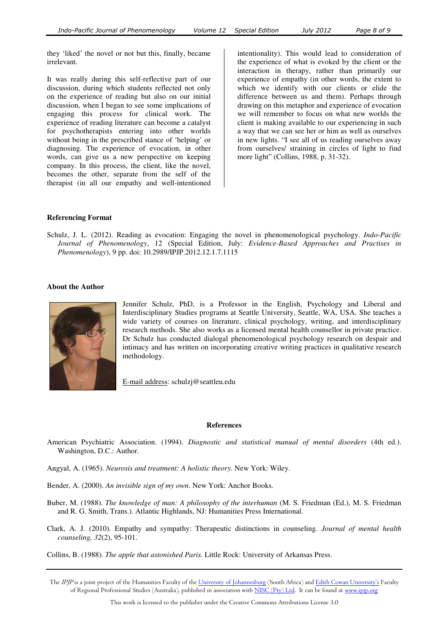they 'liked' the novel or not but this, finally, became irrelevant.

It was really during this self-reflective part of our discussion, during which students reflected not only on the experience of reading but also on our initial discussion, when I began to see some implications of engaging this process for clinical work. The experience of reading literature can become a catalyst for psychotherapists entering into other worlds without being in the prescribed stance of 'helping' or diagnosing. The experience of evocation, in other words, can give us a new perspective on keeping company. In this process, the client, like the novel, becomes the other, separate from the self of the therapist (in all our empathy and well-intentioned

intentionality). This would lead to consideration of the experience of what is evoked by the client or the interaction in therapy, rather than primarily our experience of empathy (in other words, the extent to which we identify with our clients or elide the difference between us and them). Perhaps through drawing on this metaphor and experience of evocation we will remember to focus on what new worlds the client is making available to our experiencing in such a way that we can see her or him as well as ourselves in new lights. "I see all of us reading ourselves away from ourselves/ straining in circles of light to find more light" (Collins, 1988, p. 31-32).

### **Referencing Format**

Schulz, J. L. (2012). Reading as evocation: Engaging the novel in phenomenological psychology. *Indo-Pacific Journal of Phenomenology*, 12 (Special Edition, July: *Evidence-Based Approaches and Practises in Phenomenology*), 9 pp. doi: 10.2989/IPJP.2012.12.1.7.1115

#### **About the Author**



Jennifer Schulz, PhD, is a Professor in the English, Psychology and Liberal and Interdisciplinary Studies programs at Seattle University, Seattle, WA, USA. She teaches a wide variety of courses on literature, clinical psychology, writing, and interdisciplinary research methods. She also works as a licensed mental health counsellor in private practice. Dr Schulz has conducted dialogal phenomenological psychology research on despair and intimacy and has written on incorporating creative writing practices in qualitative research methodology.

E-mail address: schulzj@seattleu.edu

#### **References**

- American Psychiatric Association. (1994). *Diagnostic and statistical manual of mental disorders* (4th ed.). Washington, D.C.: Author.
- Angyal, A. (1965). *Neurosis and treatment: A holistic theory.* New York: Wiley.
- Bender, A. (2000). *An invisible sign of my own*. New York: Anchor Books.
- Buber, M. (1988). *The knowledge of man: A philosophy of the interhuman* (M. S. Friedman (Ed.), M. S. Friedman and R. G. Smith, Trans.). Atlantic Highlands, NJ: Humanities Press International.
- Clark, A. J. (2010). Empathy and sympathy: Therapeutic distinctions in counseling. *Journal of mental health counseling, 32*(2), 95-101.

Collins, B. (1988). *The apple that astonished Paris.* Little Rock: University of Arkansas Press.

The IPJP is a joint project of the Humanities Faculty of the University of Johannesburg (South Africa) and Edith Cowan University's Faculty of Regional Professional Studies (Australia), published in association with NISC (Pty) Ltd. It can be found at www.ipjp.org